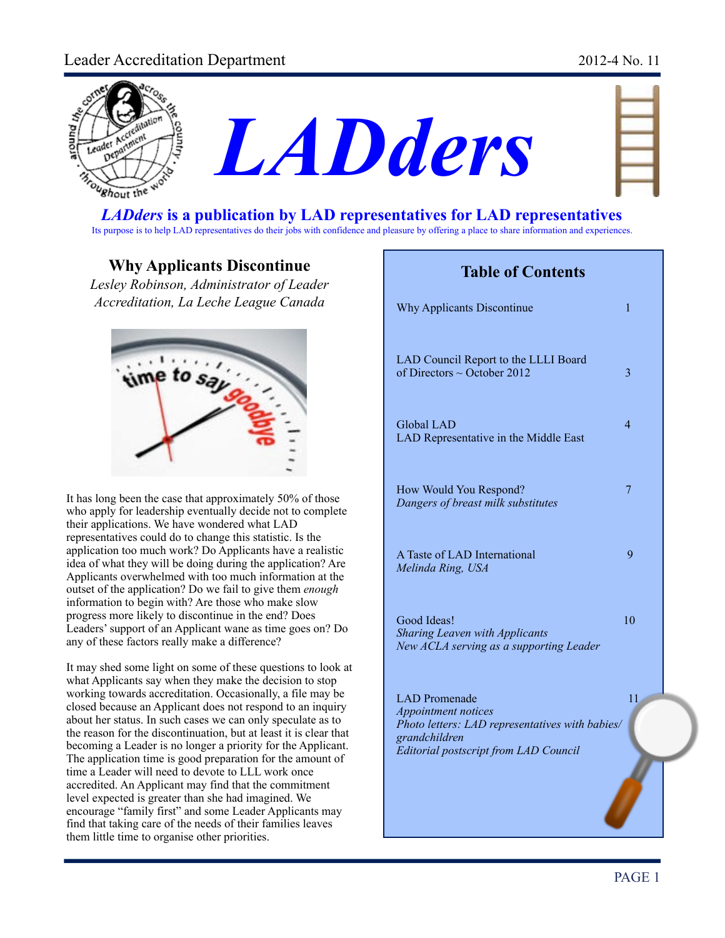## Leader Accreditation Department 2012-4 No. 11





| ۰<br>n         |  |
|----------------|--|
| ł              |  |
|                |  |
| ۳<br>×<br>an a |  |
| ł,             |  |
|                |  |

#### *LADders* **is a publication by LAD representatives for LAD representatives** Its purpose is to help LAD representatives do their jobs with confidence and pleasure by offering a place to share information and experiences.

## **Why Applicants Discontinue**

*Lesley Robinson, Administrator of Leader Accreditation, La Leche League Canada*



It has long been the case that approximately 50% of those who apply for leadership eventually decide not to complete their applications. We have wondered what LAD representatives could do to change this statistic. Is the application too much work? Do Applicants have a realistic idea of what they will be doing during the application? Are Applicants overwhelmed with too much information at the outset of the application? Do we fail to give them *enough* information to begin with? Are those who make slow progress more likely to discontinue in the end? Does Leaders' support of an Applicant wane as time goes on? Do any of these factors really make a difference?

It may shed some light on some of these questions to look at what Applicants say when they make the decision to stop working towards accreditation. Occasionally, a file may be closed because an Applicant does not respond to an inquiry about her status. In such cases we can only speculate as to the reason for the discontinuation, but at least it is clear that becoming a Leader is no longer a priority for the Applicant. The application time is good preparation for the amount of time a Leader will need to devote to LLL work once accredited. An Applicant may find that the commitment level expected is greater than she had imagined. We encourage "family first" and some Leader Applicants may find that taking care of the needs of their families leaves them little time to organise other priorities.

## **Table of Contents**

| <b>Why Applicants Discontinue</b>                                                                                                                        | 1              |  |
|----------------------------------------------------------------------------------------------------------------------------------------------------------|----------------|--|
| LAD Council Report to the LLLI Board<br>of Directors $\sim$ October 2012                                                                                 | 3              |  |
| <b>Global LAD</b><br>LAD Representative in the Middle East                                                                                               | $\overline{4}$ |  |
| How Would You Respond?<br>Dangers of breast milk substitutes                                                                                             | 7              |  |
| A Taste of LAD International<br>Melinda Ring, USA                                                                                                        | 9              |  |
| Good Ideas!<br><b>Sharing Leaven with Applicants</b><br>New ACLA serving as a supporting Leader                                                          | 10             |  |
| LAD Promenade<br><b>Appointment notices</b><br>Photo letters: LAD representatives with babies/<br>grandchildren<br>Editorial postscript from LAD Council | 11             |  |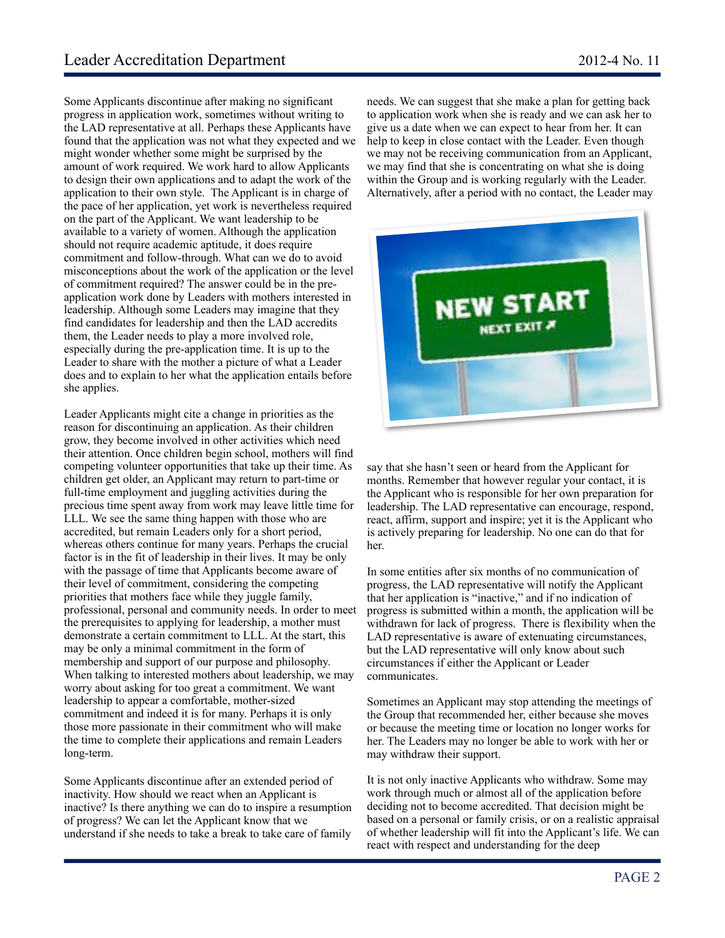Some Applicants discontinue after making no significant progress in application work, sometimes without writing to the LAD representative at all. Perhaps these Applicants have found that the application was not what they expected and we might wonder whether some might be surprised by the amount of work required. We work hard to allow Applicants to design their own applications and to adapt the work of the application to their own style. The Applicant is in charge of the pace of her application, yet work is nevertheless required on the part of the Applicant. We want leadership to be available to a variety of women. Although the application should not require academic aptitude, it does require commitment and follow-through. What can we do to avoid misconceptions about the work of the application or the level of commitment required? The answer could be in the preapplication work done by Leaders with mothers interested in leadership. Although some Leaders may imagine that they find candidates for leadership and then the LAD accredits them, the Leader needs to play a more involved role, especially during the pre-application time. It is up to the Leader to share with the mother a picture of what a Leader does and to explain to her what the application entails before she applies.

Leader Applicants might cite a change in priorities as the reason for discontinuing an application. As their children grow, they become involved in other activities which need their attention. Once children begin school, mothers will find competing volunteer opportunities that take up their time. As children get older, an Applicant may return to part-time or full-time employment and juggling activities during the precious time spent away from work may leave little time for LLL. We see the same thing happen with those who are accredited, but remain Leaders only for a short period, whereas others continue for many years. Perhaps the crucial factor is in the fit of leadership in their lives. It may be only with the passage of time that Applicants become aware of their level of commitment, considering the competing priorities that mothers face while they juggle family, professional, personal and community needs. In order to meet the prerequisites to applying for leadership, a mother must demonstrate a certain commitment to LLL. At the start, this may be only a minimal commitment in the form of membership and support of our purpose and philosophy. When talking to interested mothers about leadership, we may worry about asking for too great a commitment. We want leadership to appear a comfortable, mother-sized commitment and indeed it is for many. Perhaps it is only those more passionate in their commitment who will make the time to complete their applications and remain Leaders long-term.

Some Applicants discontinue after an extended period of inactivity. How should we react when an Applicant is inactive? Is there anything we can do to inspire a resumption of progress? We can let the Applicant know that we understand if she needs to take a break to take care of family

needs. We can suggest that she make a plan for getting back to application work when she is ready and we can ask her to give us a date when we can expect to hear from her. It can help to keep in close contact with the Leader. Even though we may not be receiving communication from an Applicant, we may find that she is concentrating on what she is doing within the Group and is working regularly with the Leader. Alternatively, after a period with no contact, the Leader may



say that she hasn't seen or heard from the Applicant for months. Remember that however regular your contact, it is the Applicant who is responsible for her own preparation for leadership. The LAD representative can encourage, respond, react, affirm, support and inspire; yet it is the Applicant who is actively preparing for leadership. No one can do that for her.

In some entities after six months of no communication of progress, the LAD representative will notify the Applicant that her application is "inactive," and if no indication of progress is submitted within a month, the application will be withdrawn for lack of progress. There is flexibility when the LAD representative is aware of extenuating circumstances, but the LAD representative will only know about such circumstances if either the Applicant or Leader communicates.

Sometimes an Applicant may stop attending the meetings of the Group that recommended her, either because she moves or because the meeting time or location no longer works for her. The Leaders may no longer be able to work with her or may withdraw their support.

It is not only inactive Applicants who withdraw. Some may work through much or almost all of the application before deciding not to become accredited. That decision might be based on a personal or family crisis, or on a realistic appraisal of whether leadership will fit into the Applicant's life. We can react with respect and understanding for the deep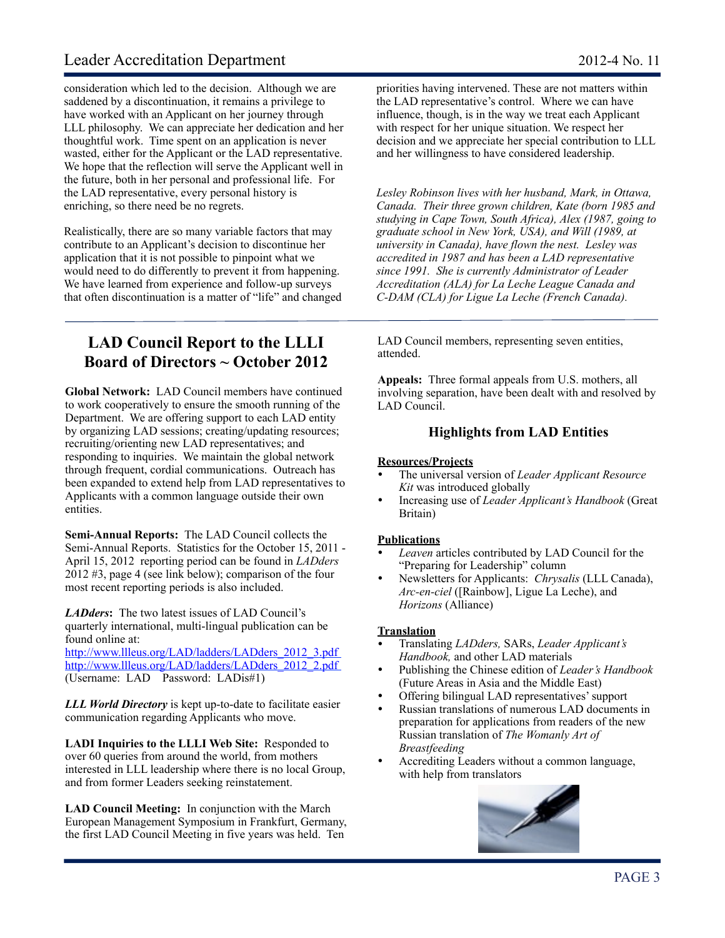## Leader Accreditation Department 2012-4 No. 11

consideration which led to the decision. Although we are saddened by a discontinuation, it remains a privilege to have worked with an Applicant on her journey through LLL philosophy. We can appreciate her dedication and her thoughtful work. Time spent on an application is never wasted, either for the Applicant or the LAD representative. We hope that the reflection will serve the Applicant well in the future, both in her personal and professional life. For the LAD representative, every personal history is enriching, so there need be no regrets.

Realistically, there are so many variable factors that may contribute to an Applicant's decision to discontinue her application that it is not possible to pinpoint what we would need to do differently to prevent it from happening. We have learned from experience and follow-up surveys that often discontinuation is a matter of "life" and changed

**LAD Council Report to the LLLI Board of Directors ~ October 2012**

**Global Network:** LAD Council members have continued to work cooperatively to ensure the smooth running of the Department. We are offering support to each LAD entity by organizing LAD sessions; creating/updating resources; recruiting/orienting new LAD representatives; and responding to inquiries. We maintain the global network through frequent, cordial communications. Outreach has been expanded to extend help from LAD representatives to Applicants with a common language outside their own entities.

**Semi-Annual Reports:** The LAD Council collects the Semi-Annual Reports. Statistics for the October 15, 2011 - April 15, 2012 reporting period can be found in *LADders* 2012 #3, page 4 (see link below); comparison of the four most recent reporting periods is also included.

*LADders***:** The two latest issues of LAD Council's quarterly international, multi-lingual publication can be found online at:

[http://www.llleus.org/LAD/ladders/LADders\\_2012\\_3.pdf](http://www.llleus.org/LAD/ladders/LADders_2012_3.pdf) [http://www.llleus.org/LAD/ladders/LADders\\_2012\\_2.pdf](http://www.llleus.org/LAD/ladders/LADders_2012_2.pdf) (Username: LAD Password: LADis#1)

*LLL World Directory* is kept up-to-date to facilitate easier communication regarding Applicants who move.

**LADI Inquiries to the LLLI Web Site:** Responded to over 60 queries from around the world, from mothers interested in LLL leadership where there is no local Group, and from former Leaders seeking reinstatement.

**LAD Council Meeting:** In conjunction with the March European Management Symposium in Frankfurt, Germany, the first LAD Council Meeting in five years was held. Ten

priorities having intervened. These are not matters within the LAD representative's control. Where we can have influence, though, is in the way we treat each Applicant with respect for her unique situation. We respect her decision and we appreciate her special contribution to LLL and her willingness to have considered leadership.

*Lesley Robinson lives with her husband, Mark, in Ottawa, Canada. Their three grown children, Kate (born 1985 and studying in Cape Town, South Africa), Alex (1987, going to graduate school in New York, USA), and Will (1989, at university in Canada), have flown the nest. Lesley was accredited in 1987 and has been a LAD representative since 1991. She is currently Administrator of Leader Accreditation (ALA) for La Leche League Canada and C-DAM (CLA) for Ligue La Leche (French Canada).* 

LAD Council members, representing seven entities, attended.

**Appeals:** Three formal appeals from U.S. mothers, all involving separation, have been dealt with and resolved by LAD Council.

#### **Highlights from LAD Entities**

#### **Resources/Projects**

- ! The universal version of *Leader Applicant Resource Kit* was introduced globally
- ! Increasing use of *Leader Applicant's Handbook* (Great Britain)

#### **Publications**

- ! *Leaven* articles contributed by LAD Council for the "Preparing for Leadership" column
- ! Newsletters for Applicants: *Chrysalis* (LLL Canada), *Arc-en-ciel* ([Rainbow], Ligue La Leche), and *Horizons* (Alliance)

#### **Translation**

- ! Translating *LADders,* SARs, *Leader Applicant's Handbook,* and other LAD materials
- ! Publishing the Chinese edition of *Leader's Handbook* (Future Areas in Asia and the Middle East)
- Offering bilingual LAD representatives' support
- Russian translations of numerous LAD documents in preparation for applications from readers of the new Russian translation of *The Womanly Art of Breastfeeding*
- ! Accrediting Leaders without a common language, with help from translators

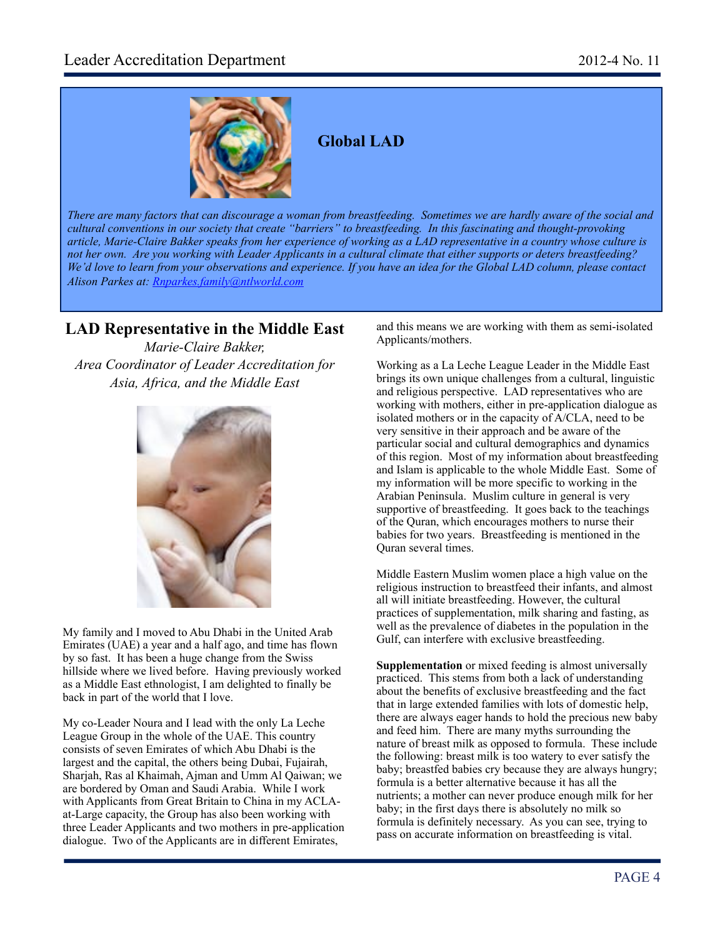

## **Global LAD**

*There are many factors that can discourage a woman from breastfeeding. Sometimes we are hardly aware of the social and cultural conventions in our society that create "barriers" to breastfeeding. In this fascinating and thought-provoking article, Marie-Claire Bakker speaks from her experience of working as a LAD representative in a country whose culture is not her own. Are you working with Leader Applicants in a cultural climate that either supports or deters breastfeeding? We'd love to learn from your observations and experience. If you have an idea for the Global LAD column, please contact Alison Parkes at: [Rnparkes.family@ntlworld.com](mailto:Rnparkes.family@ntlworld.com)*

## **LAD Representative in the Middle East**

*Marie-Claire Bakker, Area Coordinator of Leader Accreditation for Asia, Africa, and the Middle East*



My family and I moved to Abu Dhabi in the United Arab Emirates (UAE) a year and a half ago, and time has flown by so fast. It has been a huge change from the Swiss hillside where we lived before. Having previously worked as a Middle East ethnologist, I am delighted to finally be back in part of the world that I love.

My co-Leader Noura and I lead with the only La Leche League Group in the whole of the UAE. This country consists of seven Emirates of which Abu Dhabi is the largest and the capital, the others being Dubai, Fujairah, Sharjah, Ras al Khaimah, Ajman and Umm Al Qaiwan; we are bordered by Oman and Saudi Arabia. While I work with Applicants from Great Britain to China in my ACLAat-Large capacity, the Group has also been working with three Leader Applicants and two mothers in pre-application dialogue. Two of the Applicants are in different Emirates,

and this means we are working with them as semi-isolated Applicants/mothers.

Working as a La Leche League Leader in the Middle East brings its own unique challenges from a cultural, linguistic and religious perspective. LAD representatives who are working with mothers, either in pre-application dialogue as isolated mothers or in the capacity of A/CLA, need to be very sensitive in their approach and be aware of the particular social and cultural demographics and dynamics of this region. Most of my information about breastfeeding and Islam is applicable to the whole Middle East. Some of my information will be more specific to working in the Arabian Peninsula. Muslim culture in general is very supportive of breastfeeding. It goes back to the teachings of the Quran, which encourages mothers to nurse their babies for two years. Breastfeeding is mentioned in the Quran several times.

Middle Eastern Muslim women place a high value on the religious instruction to breastfeed their infants, and almost all will initiate breastfeeding. However, the cultural practices of supplementation, milk sharing and fasting, as well as the prevalence of diabetes in the population in the Gulf, can interfere with exclusive breastfeeding.

**Supplementation** or mixed feeding is almost universally practiced. This stems from both a lack of understanding about the benefits of exclusive breastfeeding and the fact that in large extended families with lots of domestic help, there are always eager hands to hold the precious new baby and feed him. There are many myths surrounding the nature of breast milk as opposed to formula. These include the following: breast milk is too watery to ever satisfy the baby; breastfed babies cry because they are always hungry; formula is a better alternative because it has all the nutrients; a mother can never produce enough milk for her baby; in the first days there is absolutely no milk so formula is definitely necessary. As you can see, trying to pass on accurate information on breastfeeding is vital.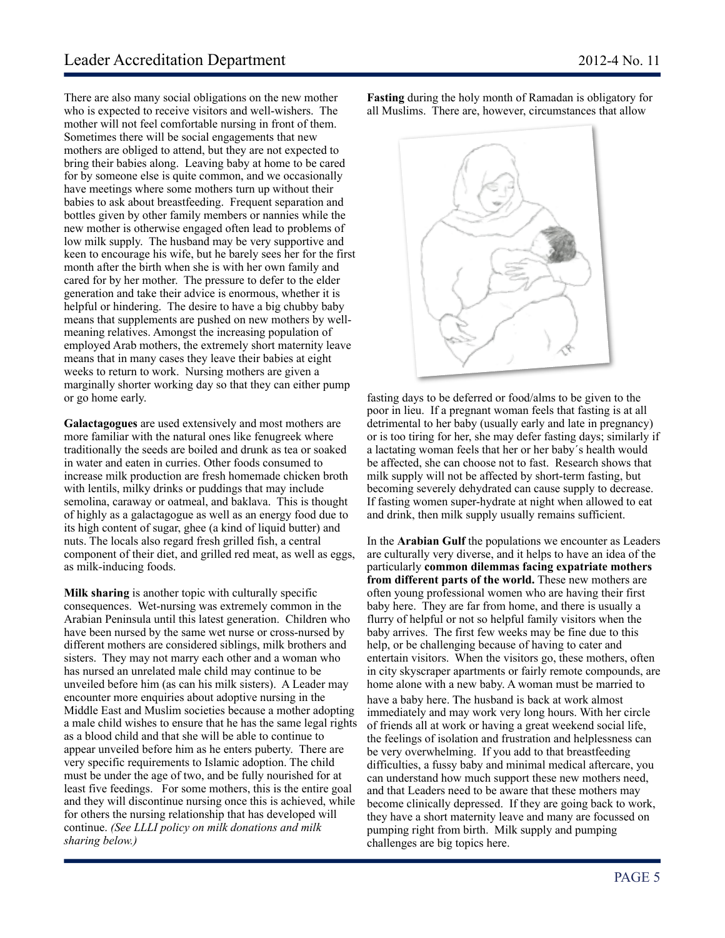There are also many social obligations on the new mother who is expected to receive visitors and well-wishers. The mother will not feel comfortable nursing in front of them. Sometimes there will be social engagements that new mothers are obliged to attend, but they are not expected to bring their babies along. Leaving baby at home to be cared for by someone else is quite common, and we occasionally have meetings where some mothers turn up without their babies to ask about breastfeeding. Frequent separation and bottles given by other family members or nannies while the new mother is otherwise engaged often lead to problems of low milk supply. The husband may be very supportive and keen to encourage his wife, but he barely sees her for the first month after the birth when she is with her own family and cared for by her mother. The pressure to defer to the elder generation and take their advice is enormous, whether it is helpful or hindering. The desire to have a big chubby baby means that supplements are pushed on new mothers by wellmeaning relatives. Amongst the increasing population of employed Arab mothers, the extremely short maternity leave means that in many cases they leave their babies at eight weeks to return to work. Nursing mothers are given a marginally shorter working day so that they can either pump or go home early.

**Galactagogues** are used extensively and most mothers are more familiar with the natural ones like fenugreek where traditionally the seeds are boiled and drunk as tea or soaked in water and eaten in curries. Other foods consumed to increase milk production are fresh homemade chicken broth with lentils, milky drinks or puddings that may include semolina, caraway or oatmeal, and baklava. This is thought of highly as a galactagogue as well as an energy food due to its high content of sugar, ghee (a kind of liquid butter) and nuts. The locals also regard fresh grilled fish, a central component of their diet, and grilled red meat, as well as eggs, as milk-inducing foods.

**Milk sharing** is another topic with culturally specific consequences. Wet-nursing was extremely common in the Arabian Peninsula until this latest generation. Children who have been nursed by the same wet nurse or cross-nursed by different mothers are considered siblings, milk brothers and sisters. They may not marry each other and a woman who has nursed an unrelated male child may continue to be unveiled before him (as can his milk sisters). A Leader may encounter more enquiries about adoptive nursing in the Middle East and Muslim societies because a mother adopting a male child wishes to ensure that he has the same legal rights as a blood child and that she will be able to continue to appear unveiled before him as he enters puberty. There are very specific requirements to Islamic adoption. The child must be under the age of two, and be fully nourished for at least five feedings. For some mothers, this is the entire goal and they will discontinue nursing once this is achieved, while for others the nursing relationship that has developed will continue. *(See LLLI policy on milk donations and milk sharing below.)* 

**Fasting** during the holy month of Ramadan is obligatory for all Muslims. There are, however, circumstances that allow



fasting days to be deferred or food/alms to be given to the poor in lieu. If a pregnant woman feels that fasting is at all detrimental to her baby (usually early and late in pregnancy) or is too tiring for her, she may defer fasting days; similarly if a lactating woman feels that her or her baby´s health would be affected, she can choose not to fast. Research shows that milk supply will not be affected by short-term fasting, but becoming severely dehydrated can cause supply to decrease. If fasting women super-hydrate at night when allowed to eat and drink, then milk supply usually remains sufficient.

In the **Arabian Gulf** the populations we encounter as Leaders are culturally very diverse, and it helps to have an idea of the particularly **common dilemmas facing expatriate mothers from different parts of the world.** These new mothers are often young professional women who are having their first baby here. They are far from home, and there is usually a flurry of helpful or not so helpful family visitors when the baby arrives. The first few weeks may be fine due to this help, or be challenging because of having to cater and entertain visitors. When the visitors go, these mothers, often in city skyscraper apartments or fairly remote compounds, are home alone with a new baby. A woman must be married to have a baby here. The husband is back at work almost immediately and may work very long hours. With her circle of friends all at work or having a great weekend social life, the feelings of isolation and frustration and helplessness can be very overwhelming. If you add to that breastfeeding difficulties, a fussy baby and minimal medical aftercare, you can understand how much support these new mothers need, and that Leaders need to be aware that these mothers may become clinically depressed. If they are going back to work, they have a short maternity leave and many are focussed on pumping right from birth. Milk supply and pumping challenges are big topics here.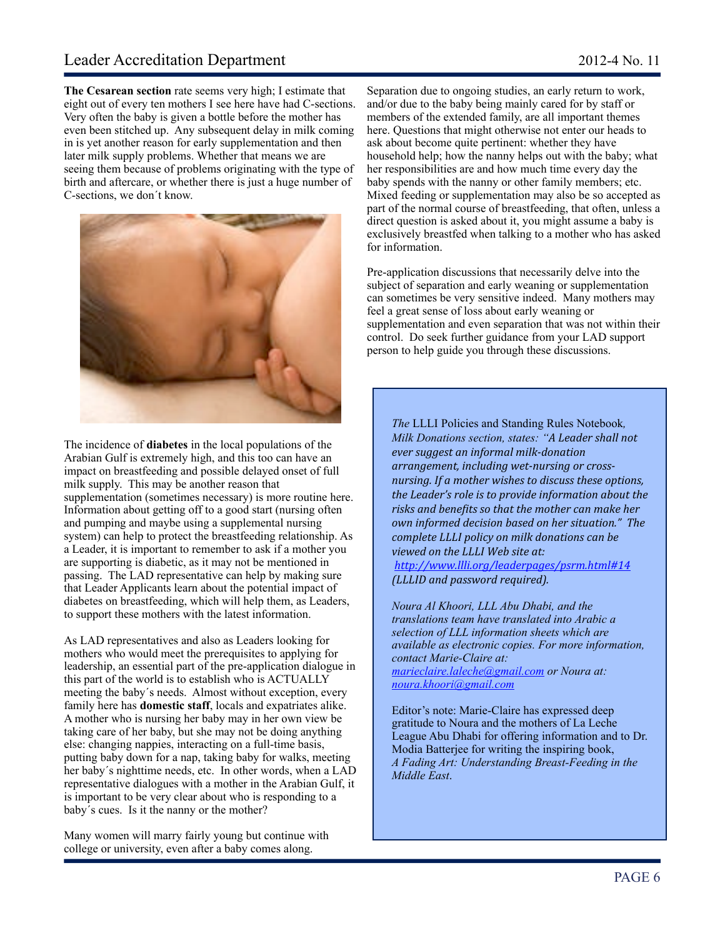**The Cesarean section** rate seems very high; I estimate that eight out of every ten mothers I see here have had C-sections. Very often the baby is given a bottle before the mother has even been stitched up. Any subsequent delay in milk coming in is yet another reason for early supplementation and then later milk supply problems. Whether that means we are seeing them because of problems originating with the type of birth and aftercare, or whether there is just a huge number of C-sections, we don´t know.



The incidence of **diabetes** in the local populations of the Arabian Gulf is extremely high, and this too can have an impact on breastfeeding and possible delayed onset of full milk supply. This may be another reason that supplementation (sometimes necessary) is more routine here. Information about getting off to a good start (nursing often and pumping and maybe using a supplemental nursing system) can help to protect the breastfeeding relationship. As a Leader, it is important to remember to ask if a mother you are supporting is diabetic, as it may not be mentioned in passing. The LAD representative can help by making sure that Leader Applicants learn about the potential impact of diabetes on breastfeeding, which will help them, as Leaders, to support these mothers with the latest information.

As LAD representatives and also as Leaders looking for mothers who would meet the prerequisites to applying for leadership, an essential part of the pre-application dialogue in this part of the world is to establish who is ACTUALLY meeting the baby´s needs. Almost without exception, every family here has **domestic staff**, locals and expatriates alike. A mother who is nursing her baby may in her own view be taking care of her baby, but she may not be doing anything else: changing nappies, interacting on a full-time basis, putting baby down for a nap, taking baby for walks, meeting her baby´s nighttime needs, etc. In other words, when a LAD representative dialogues with a mother in the Arabian Gulf, it is important to be very clear about who is responding to a baby´s cues. Is it the nanny or the mother?

Many women will marry fairly young but continue with college or university, even after a baby comes along.

Separation due to ongoing studies, an early return to work, and/or due to the baby being mainly cared for by staff or members of the extended family, are all important themes here. Questions that might otherwise not enter our heads to ask about become quite pertinent: whether they have household help; how the nanny helps out with the baby; what her responsibilities are and how much time every day the baby spends with the nanny or other family members; etc. Mixed feeding or supplementation may also be so accepted as part of the normal course of breastfeeding, that often, unless a direct question is asked about it, you might assume a baby is exclusively breastfed when talking to a mother who has asked for information.

Pre-application discussions that necessarily delve into the subject of separation and early weaning or supplementation can sometimes be very sensitive indeed. Many mothers may feel a great sense of loss about early weaning or supplementation and even separation that was not within their control. Do seek further guidance from your LAD support person to help guide you through these discussions.

*The* LLLI Policies and Standing Rules Notebook*, Milk Donations section, states: "A Leader shall not*"  $ever$  suggest an informal milk-donation *arrangement, including wet-nursing or crossnursing. If a mother wishes to discuss these options,* the Leader's role is to provide information about the risks and benefits so that the mother can make her *own informed decision based on her situation." The complete"LLLI"policy"on"milk"donations"can"be"* viewed on the LLLI Web site at: *<http://www.llli.org/leaderpages/psrm.html#14> (LLLID and password required).* 

*Noura Al Khoori, LLL Abu Dhabi, and the translations team have translated into Arabic a selection of LLL information sheets which are available as electronic copies. For more information, contact Marie-Claire at: [marieclaire.laleche@gmail.com](mailto:marieclaire.laleche@gmail.com) or Noura at: [noura.khoori@gmail.com](mailto:noura.khoori@gmail.com)*

Editor's note: Marie-Claire has expressed deep gratitude to Noura and the mothers of La Leche League Abu Dhabi for offering information and to Dr. Modia Batterjee for writing the inspiring book, *A Fading Art: Understanding Breast-Feeding in the Middle East*.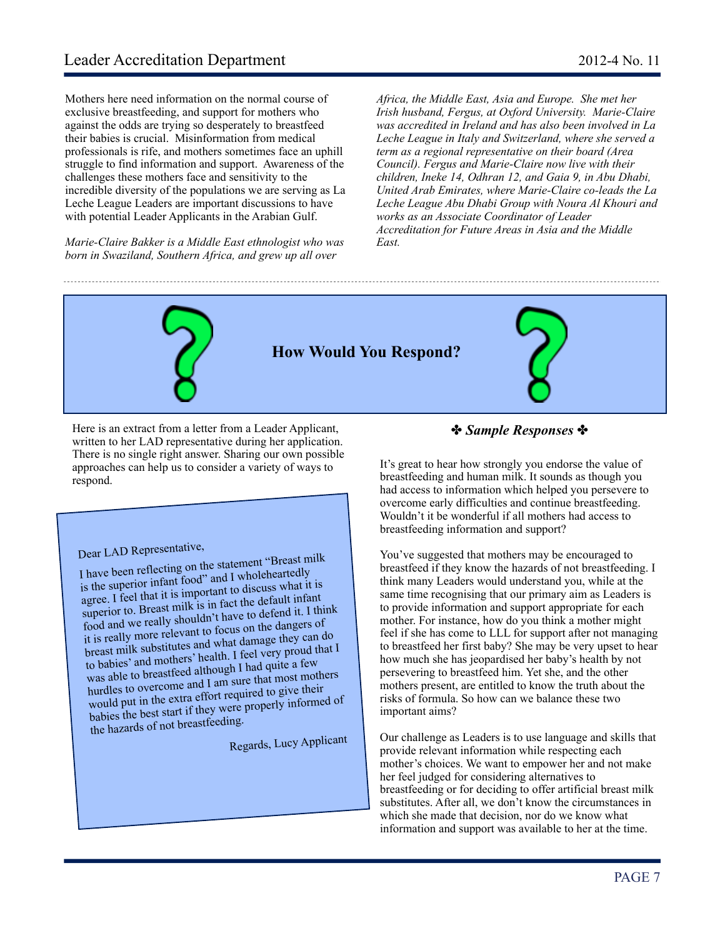Mothers here need information on the normal course of exclusive breastfeeding, and support for mothers who against the odds are trying so desperately to breastfeed their babies is crucial. Misinformation from medical professionals is rife, and mothers sometimes face an uphill struggle to find information and support. Awareness of the challenges these mothers face and sensitivity to the incredible diversity of the populations we are serving as La Leche League Leaders are important discussions to have with potential Leader Applicants in the Arabian Gulf.

*Marie-Claire Bakker is a Middle East ethnologist who was born in Swaziland, Southern Africa, and grew up all over* 

*Africa, the Middle East, Asia and Europe. She met her Irish husband, Fergus, at Oxford University. Marie-Claire was accredited in Ireland and has also been involved in La Leche League in Italy and Switzerland, where she served a term as a regional representative on their board (Area Council). Fergus and Marie-Claire now live with their children, Ineke 14, Odhran 12, and Gaia 9, in Abu Dhabi, United Arab Emirates, where Marie-Claire co-leads the La Leche League Abu Dhabi Group with Noura Al Khouri and works as an Associate Coordinator of Leader Accreditation for Future Areas in Asia and the Middle East.*



Here is an extract from a letter from a Leader Applicant, written to her LAD representative during her application. There is no single right answer. Sharing our own possible approaches can help us to consider a variety of ways to respond.

## Dear LAD Representative,

I have been reflecting on the statement "Breast milk is the superior infant food" and I wholeheartedly agree. I feel that it is important to discuss what it is superior to. Breast milk is in fact the default infant food and we really shouldn't have to defend it. I think it is really more relevant to focus on the dangers o<sup>f</sup> breast milk substitutes and what damage they can do to babies' and mothers' health. I feel very proud that I was able to breastfeed although I had quite a few hurdles to overcome and I am sure that most mothers would put in the extra effort required to give their babies the best start if they were properly informed of the hazards of not breastfeeding.

Regards, Lucy Applicant

#### ✤ *Sample Responses* ✤

It's great to hear how strongly you endorse the value of breastfeeding and human milk. It sounds as though you had access to information which helped you persevere to overcome early difficulties and continue breastfeeding. Wouldn't it be wonderful if all mothers had access to breastfeeding information and support?

You've suggested that mothers may be encouraged to breastfeed if they know the hazards of not breastfeeding. I think many Leaders would understand you, while at the same time recognising that our primary aim as Leaders is to provide information and support appropriate for each mother. For instance, how do you think a mother might feel if she has come to LLL for support after not managing to breastfeed her first baby? She may be very upset to hear how much she has jeopardised her baby's health by not persevering to breastfeed him. Yet she, and the other mothers present, are entitled to know the truth about the risks of formula. So how can we balance these two important aims?

Our challenge as Leaders is to use language and skills that provide relevant information while respecting each mother's choices. We want to empower her and not make her feel judged for considering alternatives to breastfeeding or for deciding to offer artificial breast milk substitutes. After all, we don't know the circumstances in which she made that decision, nor do we know what information and support was available to her at the time.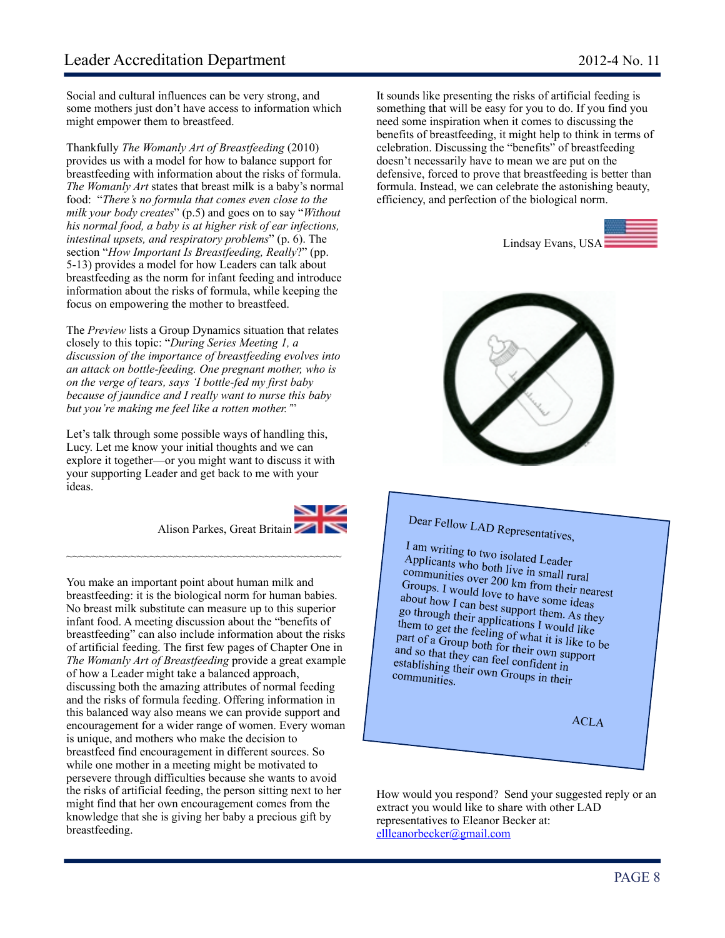Social and cultural influences can be very strong, and some mothers just don't have access to information which might empower them to breastfeed.

Thankfully *The Womanly Art of Breastfeeding* (2010) provides us with a model for how to balance support for breastfeeding with information about the risks of formula. *The Womanly Art* states that breast milk is a baby's normal food: "*There's no formula that comes even close to the milk your body creates*" (p.5) and goes on to say "*Without his normal food, a baby is at higher risk of ear infections, intestinal upsets, and respiratory problems*" (p. 6). The section "*How Important Is Breastfeeding, Really*?" (pp. 5-13) provides a model for how Leaders can talk about breastfeeding as the norm for infant feeding and introduce information about the risks of formula, while keeping the focus on empowering the mother to breastfeed.

The *Preview* lists a Group Dynamics situation that relates closely to this topic: "*During Series Meeting 1, a discussion of the importance of breastfeeding evolves into an attack on bottle-feeding. One pregnant mother, who is on the verge of tears, says 'I bottle-fed my first baby because of jaundice and I really want to nurse this baby but you're making me feel like a rotten mother.'*"

Let's talk through some possible ways of handling this, Lucy. Let me know your initial thoughts and we can explore it together—or you might want to discuss it with your supporting Leader and get back to me with your ideas.

~~~~~~~~~~~~~~~~~~~~~~~~~~~~~~~~~~~~~~~~~~~

#### Alison Parkes, Great Britain

You make an important point about human milk and breastfeeding: it is the biological norm for human babies. No breast milk substitute can measure up to this superior infant food. A meeting discussion about the "benefits of breastfeeding" can also include information about the risks of artificial feeding. The first few pages of Chapter One in *The Womanly Art of Breastfeeding* provide a great example of how a Leader might take a balanced approach, discussing both the amazing attributes of normal feeding and the risks of formula feeding. Offering information in this balanced way also means we can provide support and encouragement for a wider range of women. Every woman is unique, and mothers who make the decision to breastfeed find encouragement in different sources. So while one mother in a meeting might be motivated to persevere through difficulties because she wants to avoid the risks of artificial feeding, the person sitting next to her might find that her own encouragement comes from the knowledge that she is giving her baby a precious gift by breastfeeding.

It sounds like presenting the risks of artificial feeding is something that will be easy for you to do. If you find you need some inspiration when it comes to discussing the benefits of breastfeeding, it might help to think in terms of celebration. Discussing the "benefits" of breastfeeding doesn't necessarily have to mean we are put on the defensive, forced to prove that breastfeeding is better than formula. Instead, we can celebrate the astonishing beauty, efficiency, and perfection of the biological norm.





# Dear Fellow LAD Representatives,

I am writing to two isolated Leader Applicants who both live in small rural communities over 200 km from their nearest Groups. I would love to have some ideas about how I can best support them. As they go through their applications I would like them to get the feeling of what it is like to be part of a Group both for their own support and so that they can feel confident in<br>establishing their own Groups in their<br>communities establishing their own Groups in their<br>communities.

ACLA

How would you respond? Send your suggested reply or an extract you would like to share with other LAD representatives to Eleanor Becker at: [ellleanorbecker@gmail.com](mailto:ellleanorbecker@gmail.com)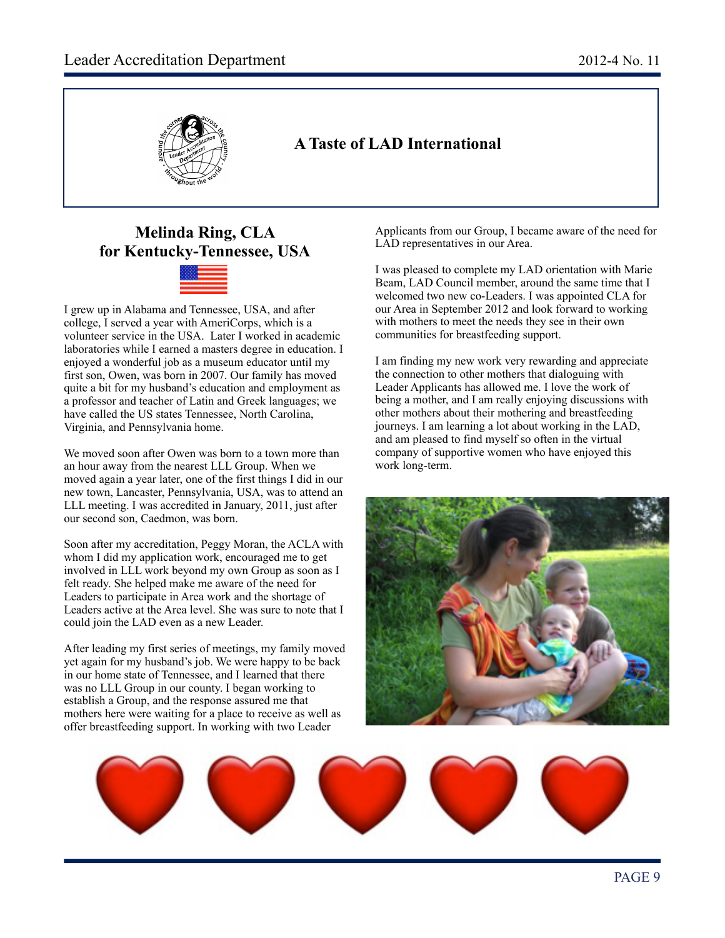

## **A Taste of LAD International**

## **Melinda Ring, CLA for Kentucky-Tennessee, USA**



I grew up in Alabama and Tennessee, USA, and after college, I served a year with AmeriCorps, which is a volunteer service in the USA. Later I worked in academic laboratories while I earned a masters degree in education. I enjoyed a wonderful job as a museum educator until my first son, Owen, was born in 2007. Our family has moved quite a bit for my husband's education and employment as a professor and teacher of Latin and Greek languages; we have called the US states Tennessee, North Carolina, Virginia, and Pennsylvania home.

We moved soon after Owen was born to a town more than an hour away from the nearest LLL Group. When we moved again a year later, one of the first things I did in our new town, Lancaster, Pennsylvania, USA, was to attend an LLL meeting. I was accredited in January, 2011, just after our second son, Caedmon, was born.

Soon after my accreditation, Peggy Moran, the ACLA with whom I did my application work, encouraged me to get involved in LLL work beyond my own Group as soon as I felt ready. She helped make me aware of the need for Leaders to participate in Area work and the shortage of Leaders active at the Area level. She was sure to note that I could join the LAD even as a new Leader.

After leading my first series of meetings, my family moved yet again for my husband's job. We were happy to be back in our home state of Tennessee, and I learned that there was no LLL Group in our county. I began working to establish a Group, and the response assured me that mothers here were waiting for a place to receive as well as offer breastfeeding support. In working with two Leader

Applicants from our Group, I became aware of the need for LAD representatives in our Area.

I was pleased to complete my LAD orientation with Marie Beam, LAD Council member, around the same time that I welcomed two new co-Leaders. I was appointed CLA for our Area in September 2012 and look forward to working with mothers to meet the needs they see in their own communities for breastfeeding support.

I am finding my new work very rewarding and appreciate the connection to other mothers that dialoguing with Leader Applicants has allowed me. I love the work of being a mother, and I am really enjoying discussions with other mothers about their mothering and breastfeeding journeys. I am learning a lot about working in the LAD, and am pleased to find myself so often in the virtual company of supportive women who have enjoyed this work long-term.



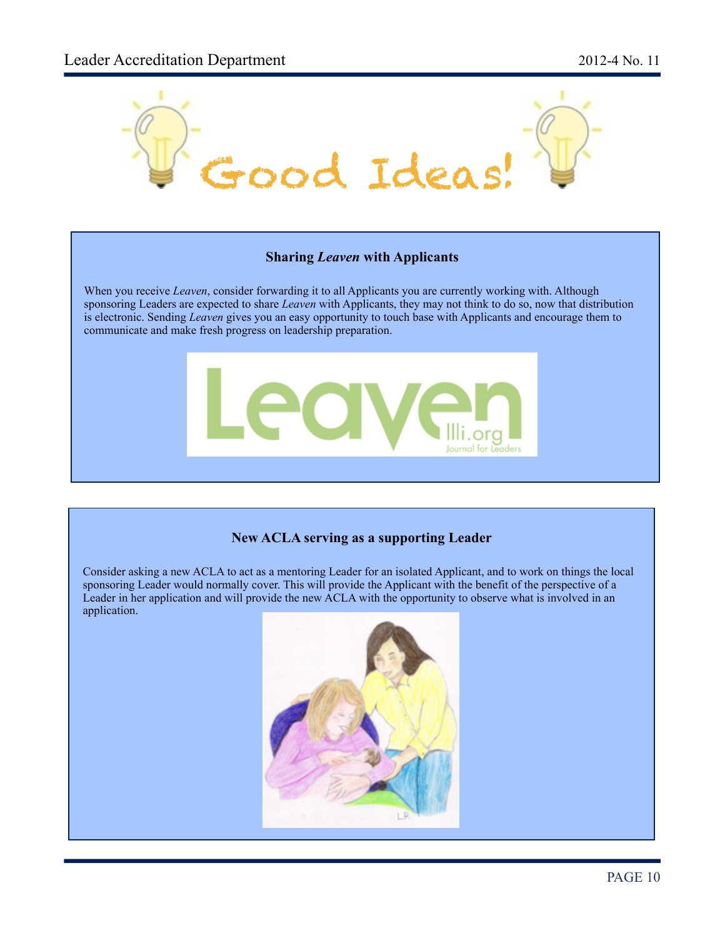

#### **New ACLA serving as a supporting Leader**

Consider asking a new ACLA to act as a mentoring Leader for an isolated Applicant, and to work on things the local sponsoring Leader would normally cover. This will provide the Applicant with the benefit of the perspective of a Leader in her application and will provide the new ACLA with the opportunity to observe what is involved in an application.

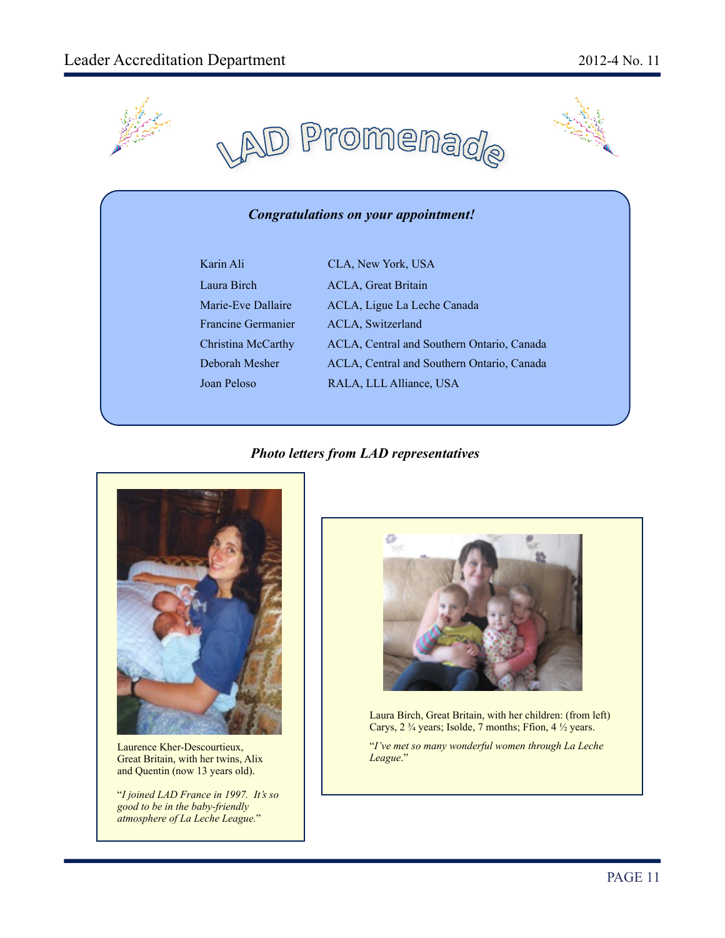



#### *Congratulations on your appointment!*

| Karin Ali                 | CLA, New York, USA                         |
|---------------------------|--------------------------------------------|
| Laura Birch               | <b>ACLA, Great Britain</b>                 |
| Marie-Eve Dallaire        | ACLA, Ligue La Leche Canada                |
| <b>Francine Germanier</b> | ACLA, Switzerland                          |
| Christina McCarthy        | ACLA, Central and Southern Ontario, Canada |
| Deborah Mesher            | ACLA, Central and Southern Ontario, Canada |
| Joan Peloso               | RALA, LLL Alliance, USA                    |
|                           |                                            |

#### *Photo letters from LAD representatives*



Laurence Kher-Descourtieux, Great Britain, with her twins, Alix and Quentin (now 13 years old).

"*I joined LAD France in 1997. It's so good to be in the baby-friendly atmosphere of La Leche League.*"



Laura Birch, Great Britain, with her children: (from left) Carys, 2  $\frac{3}{4}$  years; Isolde, 7 months; Ffion, 4  $\frac{1}{2}$  years.

"*I've met so many wonderful women through La Leche League*."